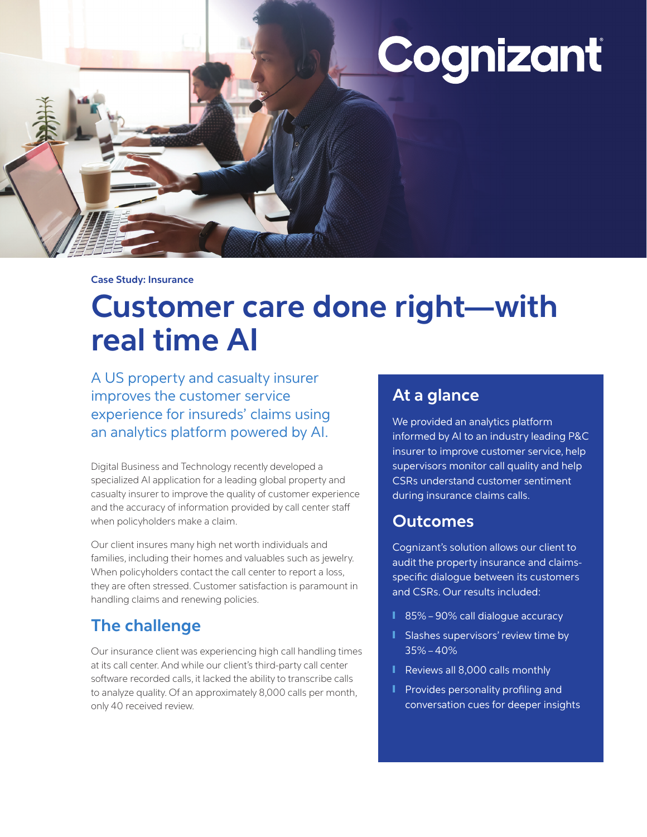# Cognizant

**Case Study: Insurance**

## **Customer care done right—with real time AI**

A US property and casualty insurer improves the customer service experience for insureds' claims using an analytics platform powered by AI.

Digital Business and Technology recently developed a specialized AI application for a leading global property and casualty insurer to improve the quality of customer experience and the accuracy of information provided by call center staff when policyholders make a claim.

Our client insures many high net worth individuals and families, including their homes and valuables such as jewelry. When policyholders contact the call center to report a loss, they are often stressed. Customer satisfaction is paramount in handling claims and renewing policies.

## **The challenge**

Our insurance client was experiencing high call handling times at its call center. And while our client's third-party call center software recorded calls, it lacked the ability to transcribe calls to analyze quality. Of an approximately 8,000 calls per month, only 40 received review.

## **At a glance**

We provided an analytics platform informed by AI to an industry leading P&C insurer to improve customer service, help supervisors monitor call quality and help CSRs understand customer sentiment during insurance claims calls.

## **Outcomes**

Cognizant's solution allows our client to audit the property insurance and claimsspecific dialogue between its customers and CSRs. Our results included:

- 85% 90% call dialogue accuracy
- Slashes supervisors' review time by 35% – 40%
- Reviews all 8,000 calls monthly
- Provides personality profiling and conversation cues for deeper insights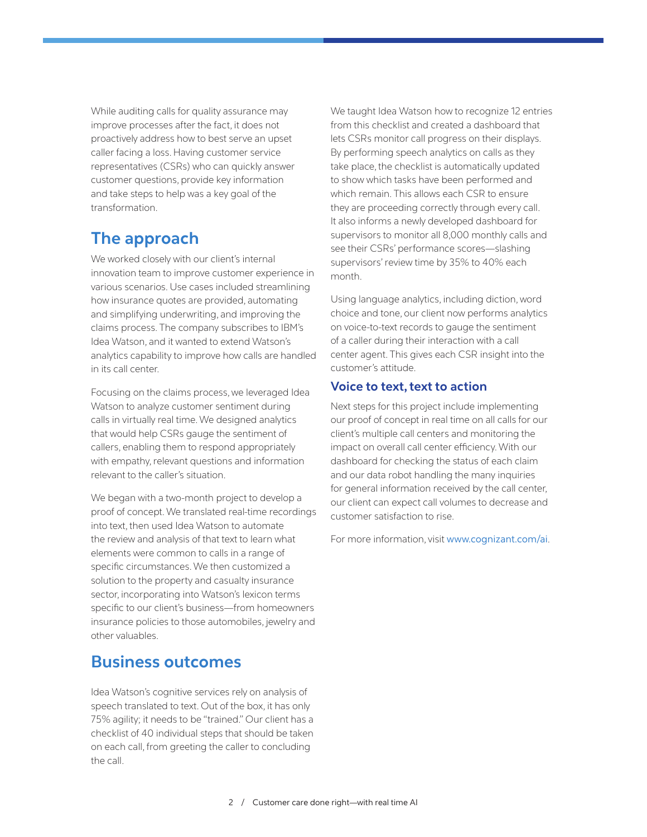While auditing calls for quality assurance may improve processes after the fact, it does not proactively address how to best serve an upset caller facing a loss. Having customer service representatives (CSRs) who can quickly answer customer questions, provide key information and take steps to help was a key goal of the transformation.

## **The approach**

We worked closely with our client's internal innovation team to improve customer experience in various scenarios. Use cases included streamlining how insurance quotes are provided, automating and simplifying underwriting, and improving the claims process. The company subscribes to IBM's Idea Watson, and it wanted to extend Watson's analytics capability to improve how calls are handled in its call center.

Focusing on the claims process, we leveraged Idea Watson to analyze customer sentiment during calls in virtually real time. We designed analytics that would help CSRs gauge the sentiment of callers, enabling them to respond appropriately with empathy, relevant questions and information relevant to the caller's situation.

We began with a two-month project to develop a proof of concept. We translated real-time recordings into text, then used Idea Watson to automate the review and analysis of that text to learn what elements were common to calls in a range of specific circumstances. We then customized a solution to the property and casualty insurance sector, incorporating into Watson's lexicon terms specific to our client's business—from homeowners insurance policies to those automobiles, jewelry and other valuables.

## **Business outcomes**

Idea Watson's cognitive services rely on analysis of speech translated to text. Out of the box, it has only 75% agility; it needs to be "trained." Our client has a checklist of 40 individual steps that should be taken on each call, from greeting the caller to concluding the call.

We taught Idea Watson how to recognize 12 entries from this checklist and created a dashboard that lets CSRs monitor call progress on their displays. By performing speech analytics on calls as they take place, the checklist is automatically updated to show which tasks have been performed and which remain. This allows each CSR to ensure they are proceeding correctly through every call. It also informs a newly developed dashboard for supervisors to monitor all 8,000 monthly calls and see their CSRs' performance scores—slashing supervisors' review time by 35% to 40% each month.

Using language analytics, including diction, word choice and tone, our client now performs analytics on voice-to-text records to gauge the sentiment of a caller during their interaction with a call center agent. This gives each CSR insight into the customer's attitude.

#### **Voice to text, text to action**

Next steps for this project include implementing our proof of concept in real time on all calls for our client's multiple call centers and monitoring the impact on overall call center efficiency. With our dashboard for checking the status of each claim and our data robot handling the many inquiries for general information received by the call center, our client can expect call volumes to decrease and customer satisfaction to rise.

For more information, visit [www.cognizant.com/ai](https://www.cognizant.com/ai).